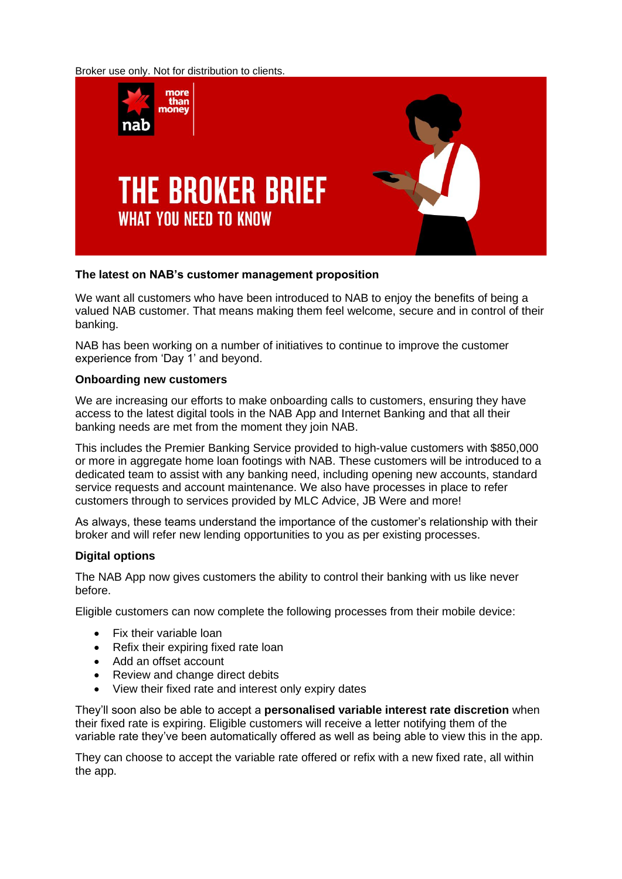Broker use only. Not for distribution to clients.



## **The latest on NAB's customer management proposition**

We want all customers who have been introduced to NAB to enjoy the benefits of being a valued NAB customer. That means making them feel welcome, secure and in control of their banking.

NAB has been working on a number of initiatives to continue to improve the customer experience from 'Day 1' and beyond.

#### **Onboarding new customers**

We are increasing our efforts to make onboarding calls to customers, ensuring they have access to the latest digital tools in the NAB App and Internet Banking and that all their banking needs are met from the moment they join NAB.

This includes the Premier Banking Service provided to high-value customers with \$850,000 or more in aggregate home loan footings with NAB. These customers will be introduced to a dedicated team to assist with any banking need, including opening new accounts, standard service requests and account maintenance. We also have processes in place to refer customers through to services provided by MLC Advice, JB Were and more!

As always, these teams understand the importance of the customer's relationship with their broker and will refer new lending opportunities to you as per existing processes.

# **Digital options**

The NAB App now gives customers the ability to control their banking with us like never before.

Eligible customers can now complete the following processes from their mobile device:

- Fix their variable loan
- Refix their expiring fixed rate loan
- Add an offset account
- Review and change direct debits
- View their fixed rate and interest only expiry dates

They'll soon also be able to accept a **personalised variable interest rate discretion** when their fixed rate is expiring. Eligible customers will receive a letter notifying them of the variable rate they've been automatically offered as well as being able to view this in the app.

They can choose to accept the variable rate offered or refix with a new fixed rate, all within the app.